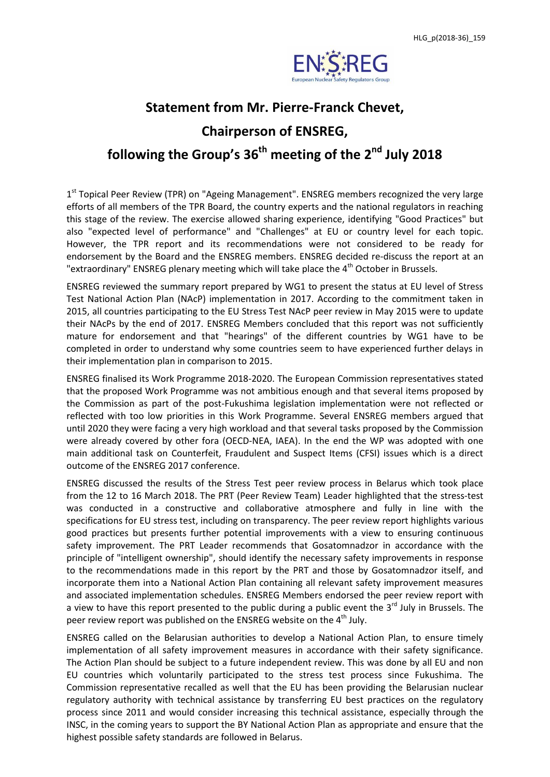

## **Statement from Mr. Pierre-Franck Chevet, Chairperson of ENSREG, following the Group's 36 th meeting of the 2 nd July 2018**

1<sup>st</sup> Topical Peer Review (TPR) on "Ageing Management". ENSREG members recognized the very large efforts of all members of the TPR Board, the country experts and the national regulators in reaching this stage of the review. The exercise allowed sharing experience, identifying "Good Practices" but also "expected level of performance" and "Challenges" at EU or country level for each topic. However, the TPR report and its recommendations were not considered to be ready for endorsement by the Board and the ENSREG members. ENSREG decided re-discuss the report at an "extraordinary" ENSREG plenary meeting which will take place the  $4<sup>th</sup>$  October in Brussels.

ENSREG reviewed the summary report prepared by WG1 to present the status at EU level of Stress Test National Action Plan (NAcP) implementation in 2017. According to the commitment taken in 2015, all countries participating to the EU Stress Test NAcP peer review in May 2015 were to update their NAcPs by the end of 2017. ENSREG Members concluded that this report was not sufficiently mature for endorsement and that "hearings" of the different countries by WG1 have to be completed in order to understand why some countries seem to have experienced further delays in their implementation plan in comparison to 2015.

ENSREG finalised its Work Programme 2018-2020. The European Commission representatives stated that the proposed Work Programme was not ambitious enough and that several items proposed by the Commission as part of the post-Fukushima legislation implementation were not reflected or reflected with too low priorities in this Work Programme. Several ENSREG members argued that until 2020 they were facing a very high workload and that several tasks proposed by the Commission were already covered by other fora (OECD-NEA, IAEA). In the end the WP was adopted with one main additional task on Counterfeit, Fraudulent and Suspect Items (CFSI) issues which is a direct outcome of the ENSREG 2017 conference.

ENSREG discussed the results of the Stress Test peer review process in Belarus which took place from the 12 to 16 March 2018. The PRT (Peer Review Team) Leader highlighted that the stress-test was conducted in a constructive and collaborative atmosphere and fully in line with the specifications for EU stress test, including on transparency. The peer review report highlights various good practices but presents further potential improvements with a view to ensuring continuous safety improvement. The PRT Leader recommends that Gosatomnadzor in accordance with the principle of "intelligent ownership", should identify the necessary safety improvements in response to the recommendations made in this report by the PRT and those by Gosatomnadzor itself, and incorporate them into a National Action Plan containing all relevant safety improvement measures and associated implementation schedules. ENSREG Members endorsed the peer review report with a view to have this report presented to the public during a public event the 3<sup>rd</sup> July in Brussels. The peer review report was published on the ENSREG website on the 4<sup>th</sup> July.

ENSREG called on the Belarusian authorities to develop a National Action Plan, to ensure timely implementation of all safety improvement measures in accordance with their safety significance. The Action Plan should be subject to a future independent review. This was done by all EU and non EU countries which voluntarily participated to the stress test process since Fukushima. The Commission representative recalled as well that the EU has been providing the Belarusian nuclear regulatory authority with technical assistance by transferring EU best practices on the regulatory process since 2011 and would consider increasing this technical assistance, especially through the INSC, in the coming years to support the BY National Action Plan as appropriate and ensure that the highest possible safety standards are followed in Belarus.